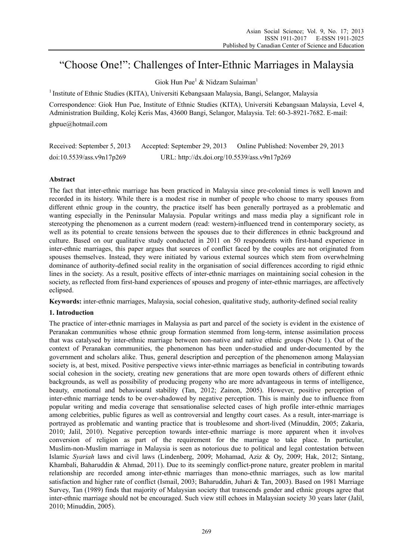# "Choose One!": Challenges of Inter-Ethnic Marriages in Malaysia

Giok Hun Pue<sup>1</sup> & Nidzam Sulaiman<sup>1</sup>

<sup>1</sup> Institute of Ethnic Studies (KITA), Universiti Kebangsaan Malaysia, Bangi, Selangor, Malaysia

Correspondence: Giok Hun Pue, Institute of Ethnic Studies (KITA), Universiti Kebangsaan Malaysia, Level 4, Administration Building, Kolej Keris Mas, 43600 Bangi, Selangor, Malaysia. Tel: 60-3-8921-7682. E-mail: ghpue@hotmail.com

Received: September 5, 2013 Accepted: September 29, 2013 Online Published: November 29, 2013 doi:10.5539/ass.v9n17p269 URL: http://dx.doi.org/10.5539/ass.v9n17p269

# **Abstract**

The fact that inter-ethnic marriage has been practiced in Malaysia since pre-colonial times is well known and recorded in its history. While there is a modest rise in number of people who choose to marry spouses from different ethnic group in the country, the practice itself has been generally portrayed as a problematic and wanting especially in the Peninsular Malaysia. Popular writings and mass media play a significant role in stereotyping the phenomenon as a current modern (read: western)-influenced trend in contemporary society, as well as its potential to create tensions between the spouses due to their differences in ethnic background and culture. Based on our qualitative study conducted in 2011 on 50 respondents with first-hand experience in inter-ethnic marriages, this paper argues that sources of conflict faced by the couples are not originated from spouses themselves. Instead, they were initiated by various external sources which stem from overwhelming dominance of authority-defined social reality in the organisation of social differences according to rigid ethnic lines in the society. As a result, positive effects of inter-ethnic marriages on maintaining social cohesion in the society, as reflected from first-hand experiences of spouses and progeny of inter-ethnic marriages, are affectively eclipsed.

**Keywords:** inter-ethnic marriages, Malaysia, social cohesion, qualitative study, authority-defined social reality

# **1. Introduction**

The practice of inter-ethnic marriages in Malaysia as part and parcel of the society is evident in the existence of Peranakan communities whose ethnic group formation stemmed from long-term, intense assimilation process that was catalysed by inter-ethnic marriage between non-native and native ethnic groups (Note 1). Out of the context of Peranakan communities, the phenomenon has been under-studied and under-documented by the government and scholars alike. Thus, general description and perception of the phenomenon among Malaysian society is, at best, mixed. Positive perspective views inter-ethnic marriages as beneficial in contributing towards social cohesion in the society, creating new generations that are more open towards others of different ethnic backgrounds, as well as possibility of producing progeny who are more advantageous in terms of intelligence, beauty, emotional and behavioural stability (Tan, 2012; Zainon, 2005). However, positive perception of inter-ethnic marriage tends to be over-shadowed by negative perception. This is mainly due to influence from popular writing and media coverage that sensationalise selected cases of high profile inter-ethnic marriages among celebrities, public figures as well as controversial and lengthy court cases. As a result, inter-marriage is portrayed as problematic and wanting practice that is troublesome and short-lived (Minuddin, 2005; Zakaria, 2010; Jalil, 2010). Negative perception towards inter-ethnic marriage is more apparent when it involves conversion of religion as part of the requirement for the marriage to take place. In particular, Muslim-non-Muslim marriage in Malaysia is seen as notorious due to political and legal contestation between Islamic *Syariah* laws and civil laws (Lindenberg, 2009; Mohamad, Aziz & Oy, 2009; Hak, 2012; Sintang, Khambali, Baharuddin & Ahmad, 2011). Due to its seemingly conflict-prone nature, greater problem in marital relationship are recorded among inter-ethnic marriages than mono-ethnic marriages, such as low marital satisfaction and higher rate of conflict (Ismail, 2003; Baharuddin, Juhari & Tan, 2003). Based on 1981 Marriage Survey, Tan (1989) finds that majority of Malaysian society that transcends gender and ethnic groups agree that inter-ethnic marriage should not be encouraged. Such view still echoes in Malaysian society 30 years later (Jalil, 2010; Minuddin, 2005).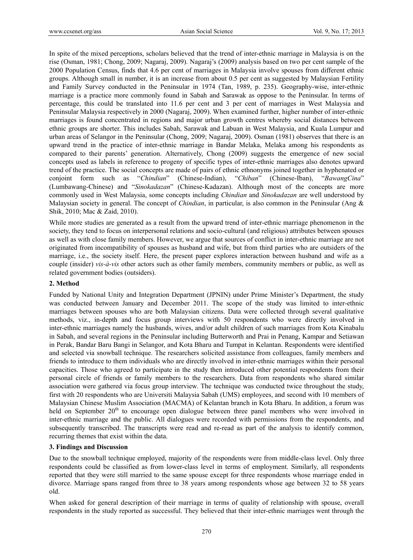In spite of the mixed perceptions, scholars believed that the trend of inter-ethnic marriage in Malaysia is on the rise (Osman, 1981; Chong, 2009; Nagaraj, 2009). Nagaraj's (2009) analysis based on two per cent sample of the 2000 Population Census, finds that 4.6 per cent of marriages in Malaysia involve spouses from different ethnic groups. Although small in number, it is an increase from about 0.5 per cent as suggested by Malaysian Fertility and Family Survey conducted in the Peninsular in 1974 (Tan, 1989, p. 235). Geography-wise, inter-ethnic marriage is a practice more commonly found in Sabah and Sarawak as oppose to the Peninsular. In terms of percentage, this could be translated into 11.6 per cent and 3 per cent of marriages in West Malaysia and Peninsular Malaysia respectively in 2000 (Nagaraj, 2009). When examined further, higher number of inter-ethnic marriages is found concentrated in regions and major urban growth centres whereby social distances between ethnic groups are shorter. This includes Sabah, Sarawak and Labuan in West Malaysia, and Kuala Lumpur and urban areas of Selangor in the Peninsular (Chong, 2009; Nagaraj, 2009). Osman (1981) observes that there is an upward trend in the practice of inter-ethnic marriage in Bandar Melaka, Melaka among his respondents as compared to their parents' generation. Alternatively, Chong (2009) suggests the emergence of new social concepts used as labels in reference to progeny of specific types of inter-ethnic marriages also denotes upward trend of the practice. The social concepts are made of pairs of ethnic ethnonyms joined together in hyphenated or conjoint form such as "*Chindian*" (Chinese-Indian), "*Chiban*" (Chinese-Iban), "*BawangCina*" (Lumbawang-Chinese) and "*Sinokadazan*" (Chinese-Kadazan). Although most of the concepts are more commonly used in West Malaysia, some concepts including *Chindian* and *Sinokadazan* are well understood by Malaysian society in general. The concept of *Chindian*, in particular, is also common in the Peninsular (Ang & Shik, 2010; Mac & Zaid, 2010).

While more studies are generated as a result from the upward trend of inter-ethnic marriage phenomenon in the society, they tend to focus on interpersonal relations and socio-cultural (and religious) attributes between spouses as well as with close family members. However, we argue that sources of conflict in inter-ethnic marriage are not originated from incompatibility of spouses as husband and wife, but from third parties who are outsiders of the marriage, i.e., the society itself. Here, the present paper explores interaction between husband and wife as a couple (insider) *vis-à-vis* other actors such as other family members, community members or public, as well as related government bodies (outsiders).

## **2. Method**

Funded by National Unity and Integration Department (JPNIN) under Prime Minister's Department, the study was conducted between January and December 2011. The scope of the study was limited to inter-ethnic marriages between spouses who are both Malaysian citizens. Data were collected through several qualitative methods, viz., in-depth and focus group interviews with 50 respondents who were directly involved in inter-ethnic marriages namely the husbands, wives, and/or adult children of such marriages from Kota Kinabalu in Sabah, and several regions in the Peninsular including Butterworth and Prai in Penang, Kampar and Setiawan in Perak, Bandar Baru Bangi in Selangor, and Kota Bharu and Tumpat in Kelantan. Respondents were identified and selected via snowball technique. The researchers solicited assistance from colleagues, family members and friends to introduce to them individuals who are directly involved in inter-ethnic marriages within their personal capacities. Those who agreed to participate in the study then introduced other potential respondents from their personal circle of friends or family members to the researchers. Data from respondents who shared similar association were gathered via focus group interview. The technique was conducted twice throughout the study, first with 20 respondents who are Universiti Malaysia Sabah (UMS) employees, and second with 10 members of Malaysian Chinese Muslim Association (MACMA) of Kelantan branch in Kota Bharu. In addition, a forum was held on September  $20<sup>th</sup>$  to encourage open dialogue between three panel members who were involved in inter-ethnic marriage and the public. All dialogues were recorded with permissions from the respondents, and subsequently transcribed. The transcripts were read and re-read as part of the analysis to identify common, recurring themes that exist within the data.

#### **3. Findings and Discussion**

Due to the snowball technique employed, majority of the respondents were from middle-class level. Only three respondents could be classified as from lower-class level in terms of employment. Similarly, all respondents reported that they were still married to the same spouse except for three respondents whose marriage ended in divorce. Marriage spans ranged from three to 38 years among respondents whose age between 32 to 58 years old.

When asked for general description of their marriage in terms of quality of relationship with spouse, overall respondents in the study reported as successful. They believed that their inter-ethnic marriages went through the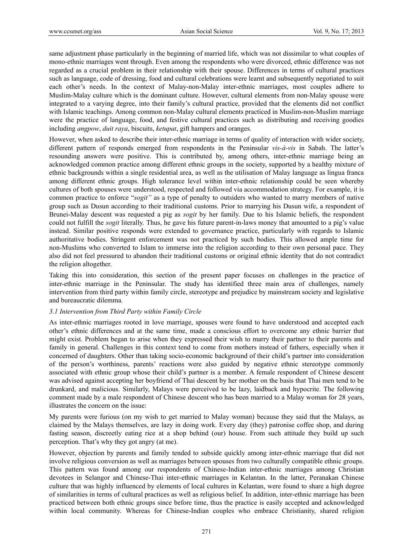same adjustment phase particularly in the beginning of married life, which was not dissimilar to what couples of mono-ethnic marriages went through. Even among the respondents who were divorced, ethnic difference was not regarded as a crucial problem in their relationship with their spouse. Differences in terms of cultural practices such as language, code of dressing, food and cultural celebrations were learnt and subsequently negotiated to suit each other's needs. In the context of Malay-non-Malay inter-ethnic marriages, most couples adhere to Muslim-Malay culture which is the dominant culture. However, cultural elements from non-Malay spouse were integrated to a varying degree, into their family's cultural practice, provided that the elements did not conflict with Islamic teachings. Among common non-Malay cultural elements practiced in Muslim-non-Muslim marriage were the practice of language, food, and festive cultural practices such as distributing and receiving goodies including *angpow*, *duit raya*, biscuits, *ketupat*, gift hampers and oranges.

However, when asked to describe their inter-ethnic marriage in terms of quality of interaction with wider society, different pattern of responds emerged from respondents in the Peninsular *vis-à-vis* in Sabah. The latter's resounding answers were positive. This is contributed by, among others, inter-ethnic marriage being an acknowledged common practice among different ethnic groups in the society, supported by a healthy mixture of ethnic backgrounds within a single residential area, as well as the utilisation of Malay language as lingua franca among different ethnic groups. High tolerance level within inter-ethnic relationship could be seen whereby cultures of both spouses were understood, respected and followed via accommodation strategy. For example, it is common practice to enforce "*sogit"* as a type of penalty to outsiders who wanted to marry members of native group such as Dusun according to their traditional customs. Prior to marrying his Dusun wife, a respondent of Brunei-Malay descent was requested a pig as *sogit* by her family. Due to his Islamic beliefs, the respondent could not fulfill the *sogit* literally. Thus, he gave his future parent-in-laws money that amounted to a pig's value instead. Similar positive responds were extended to governance practice, particularly with regards to Islamic authoritative bodies. Stringent enforcement was not practiced by such bodies. This allowed ample time for non-Muslims who converted to Islam to immerse into the religion according to their own personal pace. They also did not feel pressured to abandon their traditional customs or original ethnic identity that do not contradict the religion altogether.

Taking this into consideration, this section of the present paper focuses on challenges in the practice of inter-ethnic marriage in the Peninsular. The study has identified three main area of challenges, namely intervention from third party within family circle, stereotype and prejudice by mainstream society and legislative and bureaucratic dilemma.

# *3.1 Intervention from Third Party within Family Circle*

As inter-ethnic marriages rooted in love marriage, spouses were found to have understood and accepted each other's ethnic differences and at the same time, made a conscious effort to overcome any ethnic barrier that might exist. Problem began to arise when they expressed their wish to marry their partner to their parents and family in general. Challenges in this context tend to come from mothers instead of fathers, especially when it concerned of daughters. Other than taking socio-economic background of their child's partner into consideration of the person's worthiness, parents' reactions were also guided by negative ethnic stereotype commonly associated with ethnic group whose their child's partner is a member. A female respondent of Chinese descent was advised against accepting her boyfriend of Thai descent by her mother on the basis that Thai men tend to be drunkard, and malicious. Similarly, Malays were perceived to be lazy, laidback and hypocrite. The following comment made by a male respondent of Chinese descent who has been married to a Malay woman for 28 years, illustrates the concern on the issue:

My parents were furious (on my wish to get married to Malay woman) because they said that the Malays, as claimed by the Malays themselves, are lazy in doing work. Every day (they) patronise coffee shop, and during fasting season, discreetly eating rice at a shop behind (our) house. From such attitude they build up such perception. That's why they got angry (at me).

However, objection by parents and family tended to subside quickly among inter-ethnic marriage that did not involve religious conversion as well as marriages between spouses from two culturally compatible ethnic groups. This pattern was found among our respondents of Chinese-Indian inter-ethnic marriages among Christian devotees in Selangor and Chinese-Thai inter-ethnic marriages in Kelantan. In the latter, Peranakan Chinese culture that was highly influenced by elements of local cultures in Kelantan, were found to share a high degree of similarities in terms of cultural practices as well as religious belief. In addition, inter-ethnic marriage has been practiced between both ethnic groups since before time, thus the practice is easily accepted and acknowledged within local community. Whereas for Chinese-Indian couples who embrace Christianity, shared religion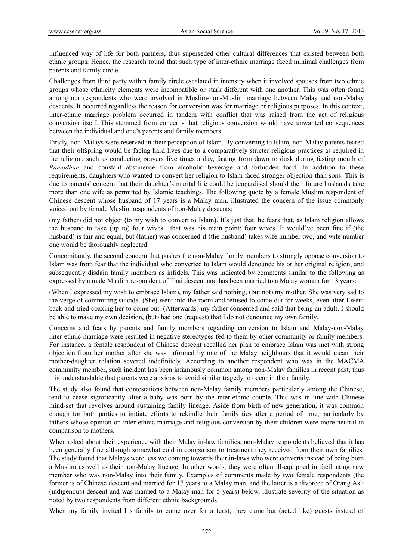influenced way of life for both partners, thus superseded other cultural differences that existed between both ethnic groups. Hence, the research found that such type of inter-ethnic marriage faced minimal challenges from parents and family circle.

Challenges from third party within family circle escalated in intensity when it involved spouses from two ethnic groups whose ethnicity elements were incompatible or stark different with one another. This was often found among our respondents who were involved in Muslim-non-Muslim marriage between Malay and non-Malay descents. It occurred regardless the reason for conversion was for marriage or religious purposes. In this context, inter-ethnic marriage problem occurred in tandem with conflict that was raised from the act of religious conversion itself. This stemmed from concerns that religious conversion would have unwanted consequences between the individual and one's parents and family members.

Firstly, non-Malays were reserved in their perception of Islam. By converting to Islam, non-Malay parents feared that their offspring would be facing hard lives due to a comparatively stricter religious practices as required in the religion, such as conducting prayers five times a day, fasting from dawn to dusk during fasting month of *Ramadhan* and constant abstinence from alcoholic beverage and forbidden food. In addition to these requirements, daughters who wanted to convert her religion to Islam faced stronger objection than sons. This is due to parents' concern that their daughter's marital life could be jeopardised should their future husbands take more than one wife as permitted by Islamic teachings. The following quote by a female Muslim respondent of Chinese descent whose husband of 17 years is a Malay man, illustrated the concern of the issue commonly voiced out by female Muslim respondents of non-Malay descents:

(my father) did not object (to my wish to convert to Islam). It's just that, he fears that, as Islam religion allows the husband to take (up to) four wives…that was his main point: four wives. It would've been fine if (the husband) is fair and equal, but (father) was concerned if (the husband) takes wife number two, and wife number one would be thoroughly neglected.

Concomitantly, the second concern that pushes the non-Malay family members to strongly oppose conversion to Islam was from fear that the individual who converted to Islam would denounce his or her original religion, and subsequently disdain family members as infidels. This was indicated by comments similar to the following as expressed by a male Muslim respondent of Thai descent and has been married to a Malay woman for 13 years:

(When I expressed my wish to embrace Islam), my father said nothing, (but not) my mother. She was very sad to the verge of committing suicide. (She) went into the room and refused to come out for weeks, even after I went back and tried coaxing her to come out. (Afterwards) my father consented and said that being an adult, I should be able to make my own decision, (but) had one (request) that I do not denounce my own family.

Concerns and fears by parents and family members regarding conversion to Islam and Malay-non-Malay inter-ethnic marriage were resulted in negative stereotypes fed to them by other community or family members. For instance, a female respondent of Chinese descent recalled her plan to embrace Islam was met with strong objection from her mother after she was informed by one of the Malay neighbours that it would mean their mother-daughter relation severed indefinitely. According to another respondent who was in the MACMA community member, such incident has been infamously common among non-Malay families in recent past, thus it is understandable that parents were anxious to avoid similar tragedy to occur in their family.

The study also found that contestations between non-Malay family members particularly among the Chinese, tend to cease significantly after a baby was born by the inter-ethnic couple. This was in line with Chinese mind-set that revolves around sustaining family lineage. Aside from birth of new generation, it was common enough for both parties to initiate efforts to rekindle their family ties after a period of time, particularly by fathers whose opinion on inter-ethnic marriage and religious conversion by their children were more neutral in comparison to mothers.

When asked about their experience with their Malay in-law families, non-Malay respondents believed that it has been generally fine although somewhat cold in comparison to treatment they received from their own families. The study found that Malays were less welcoming towards their in-laws who were converts instead of being born a Muslim as well as their non-Malay lineage. In other words, they were often ill-equipped in facilitating new member who was non-Malay into their family. Examples of comments made by two female respondents (the former is of Chinese descent and married for 17 years to a Malay man, and the latter is a divorcee of Orang Asli (indigenous) descent and was married to a Malay man for 5 years) below, illustrate severity of the situation as noted by two respondents from different ethnic backgrounds:

When my family invited his family to come over for a feast, they came but (acted like) guests instead of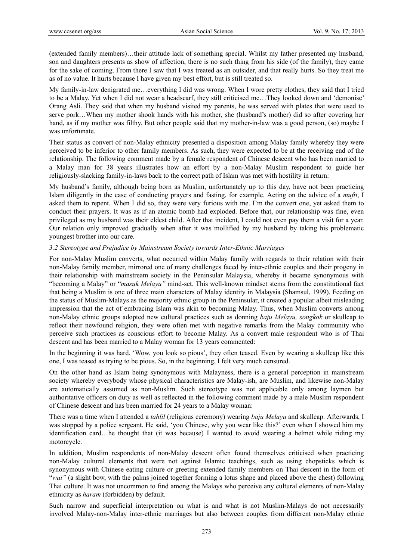(extended family members)…their attitude lack of something special. Whilst my father presented my husband, son and daughters presents as show of affection, there is no such thing from his side (of the family), they came for the sake of coming. From there I saw that I was treated as an outsider, and that really hurts. So they treat me as of no value. It hurts because I have given my best effort, but is still treated so.

My family-in-law denigrated me…everything I did was wrong. When I wore pretty clothes, they said that I tried to be a Malay. Yet when I did not wear a headscarf, they still criticised me…They looked down and 'demonise' Orang Asli. They said that when my husband visited my parents, he was served with plates that were used to serve pork…When my mother shook hands with his mother, she (husband's mother) did so after covering her hand, as if my mother was filthy. But other people said that my mother-in-law was a good person, (so) maybe I was unfortunate.

Their status as convert of non-Malay ethnicity presented a disposition among Malay family whereby they were perceived to be inferior to other family members. As such, they were expected to be at the receiving end of the relationship. The following comment made by a female respondent of Chinese descent who has been married to a Malay man for 38 years illustrates how an effort by a non-Malay Muslim respondent to guide her religiously-slacking family-in-laws back to the correct path of Islam was met with hostility in return:

My husband's family, although being born as Muslim, unfortunately up to this day, have not been practicing Islam diligently in the case of conducting prayers and fasting, for example. Acting on the advice of a *mufti*, I asked them to repent. When I did so, they were very furious with me. I'm the convert one, yet asked them to conduct their prayers. It was as if an atomic bomb had exploded. Before that, our relationship was fine, even privileged as my husband was their eldest child. After that incident, I could not even pay them a visit for a year. Our relation only improved gradually when after it was mollified by my husband by taking his problematic youngest brother into our care.

# *3.2 Stereotype and Prejudice by Mainstream Society towards Inter-Ethnic Marriages*

For non-Malay Muslim converts, what occurred within Malay family with regards to their relation with their non-Malay family member, mirrored one of many challenges faced by inter-ethnic couples and their progeny in their relationship with mainstream society in the Peninsular Malaysia, whereby it became synonymous with "becoming a Malay" or "*masuk Melayu"* mind-set. This well-known mindset stems from the constitutional fact that being a Muslim is one of three main characters of Malay identity in Malaysia (Shamsul, 1999). Feeding on the status of Muslim-Malays as the majority ethnic group in the Peninsular, it created a popular albeit misleading impression that the act of embracing Islam was akin to becoming Malay. Thus, when Muslim converts among non-Malay ethnic groups adopted new cultural practices such as donning *baju Melayu, songkok* or skullcap to reflect their newfound religion, they were often met with negative remarks from the Malay community who perceive such practices as conscious effort to become Malay. As a convert male respondent who is of Thai descent and has been married to a Malay woman for 13 years commented:

In the beginning it was hard. 'Wow, you look so pious', they often teased. Even by wearing a skullcap like this one, I was teased as trying to be pious. So, in the beginning, I felt very much censured.

On the other hand as Islam being synonymous with Malayness, there is a general perception in mainstream society whereby everybody whose physical characteristics are Malay-ish, are Muslim, and likewise non-Malay are automatically assumed as non-Muslim. Such stereotype was not applicable only among laymen but authoritative officers on duty as well as reflected in the following comment made by a male Muslim respondent of Chinese descent and has been married for 24 years to a Malay woman:

There was a time when I attended a *tahlil* (religious ceremony) wearing *baju Melayu* and skullcap. Afterwards, I was stopped by a police sergeant. He said, 'you Chinese, why you wear like this?' even when I showed him my identification card…he thought that (it was because) I wanted to avoid wearing a helmet while riding my motorcycle.

In addition, Muslim respondents of non-Malay descent often found themselves criticised when practicing non-Malay cultural elements that were not against Islamic teachings, such as using chopsticks which is synonymous with Chinese eating culture or greeting extended family members on Thai descent in the form of "*wai"* (a slight bow, with the palms joined together forming a lotus shape and placed above the chest) following Thai culture. It was not uncommon to find among the Malays who perceive any cultural elements of non-Malay ethnicity as *haram* (forbidden) by default.

Such narrow and superficial interpretation on what is and what is not Muslim-Malays do not necessarily involved Malay-non-Malay inter-ethnic marriages but also between couples from different non-Malay ethnic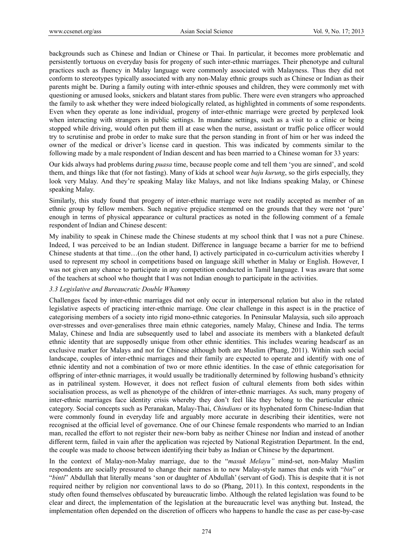backgrounds such as Chinese and Indian or Chinese or Thai. In particular, it becomes more problematic and persistently tortuous on everyday basis for progeny of such inter-ethnic marriages. Their phenotype and cultural practices such as fluency in Malay language were commonly associated with Malayness. Thus they did not conform to stereotypes typically associated with any non-Malay ethnic groups such as Chinese or Indian as their parents might be. During a family outing with inter-ethnic spouses and children, they were commonly met with questioning or amused looks, snickers and blatant stares from public. There were even strangers who approached the family to ask whether they were indeed biologically related, as highlighted in comments of some respondents. Even when they operate as lone individual, progeny of inter-ethnic marriage were greeted by perplexed look when interacting with strangers in public settings. In mundane settings, such as a visit to a clinic or being stopped while driving, would often put them ill at ease when the nurse, assistant or traffic police officer would try to scrutinise and probe in order to make sure that the person standing in front of him or her was indeed the owner of the medical or driver's license card in question. This was indicated by comments similar to the following made by a male respondent of Indian descent and has been married to a Chinese woman for 33 years:

Our kids always had problems during *puasa* time, because people come and tell them 'you are sinned', and scold them, and things like that (for not fasting). Many of kids at school wear *baju kurung*, so the girls especially, they look very Malay. And they're speaking Malay like Malays, and not like Indians speaking Malay, or Chinese speaking Malay.

Similarly, this study found that progeny of inter-ethnic marriage were not readily accepted as member of an ethnic group by fellow members. Such negative prejudice stemmed on the grounds that they were not 'pure' enough in terms of physical appearance or cultural practices as noted in the following comment of a female respondent of Indian and Chinese descent:

My inability to speak in Chinese made the Chinese students at my school think that I was not a pure Chinese. Indeed, I was perceived to be an Indian student. Difference in language became a barrier for me to befriend Chinese students at that time…(on the other hand, I) actively participated in co-curriculum activities whereby I used to represent my school in competitions based on language skill whether in Malay or English. However, I was not given any chance to participate in any competition conducted in Tamil language. I was aware that some of the teachers at school who thought that I was not Indian enough to participate in the activities.

# *3.3 Legislative and Bureaucratic Double Whammy*

Challenges faced by inter-ethnic marriages did not only occur in interpersonal relation but also in the related legislative aspects of practicing inter-ethnic marriage. One clear challenge in this aspect is in the practice of categorising members of a society into rigid mono-ethnic categories. In Peninsular Malaysia, such silo approach over-stresses and over-generalises three main ethnic categories, namely Malay, Chinese and India. The terms Malay, Chinese and India are subsequently used to label and associate its members with a blanketed default ethnic identity that are supposedly unique from other ethnic identities. This includes wearing headscarf as an exclusive marker for Malays and not for Chinese although both are Muslim (Phang, 2011). Within such social landscape, couples of inter-ethnic marriages and their family are expected to operate and identify with one of ethnic identity and not a combination of two or more ethnic identities. In the case of ethnic categorisation for offspring of inter-ethnic marriages, it would usually be traditionally determined by following husband's ethnicity as in patrilineal system. However, it does not reflect fusion of cultural elements from both sides within socialisation process, as well as phenotype of the children of inter-ethnic marriages. As such, many progeny of inter-ethnic marriages face identity crisis whereby they don't feel like they belong to the particular ethnic category. Social concepts such as Peranakan, Malay-Thai, *Chindians* or its hyphenated form Chinese-Indian that were commonly found in everyday life and arguably more accurate in describing their identities, were not recognised at the official level of governance. One of our Chinese female respondents who married to an Indian man, recalled the effort to not register their new-born baby as neither Chinese nor Indian and instead of another different term, failed in vain after the application was rejected by National Registration Department. In the end, the couple was made to choose between identifying their baby as Indian or Chinese by the department.

In the context of Malay-non-Malay marriage, due to the "*masuk Melayu"* mind-set, non-Malay Muslim respondents are socially pressured to change their names in to new Malay-style names that ends with "*bin*" or "*binti*" Abdullah that literally means 'son or daughter of Abdullah' (servant of God). This is despite that it is not required neither by religion nor conventional laws to do so (Phang, 2011). In this context, respondents in the study often found themselves obfuscated by bureaucratic limbo. Although the related legislation was found to be clear and direct, the implementation of the legislation at the bureaucratic level was anything but. Instead, the implementation often depended on the discretion of officers who happens to handle the case as per case-by-case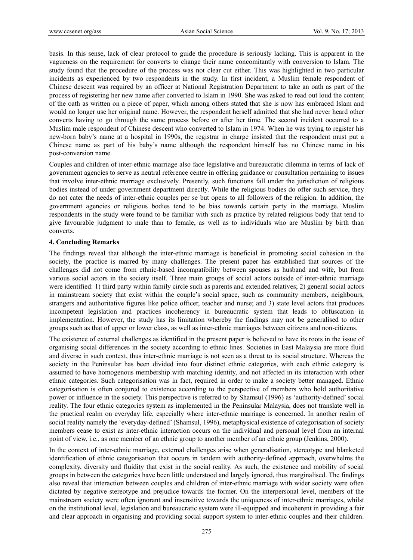basis. In this sense, lack of clear protocol to guide the procedure is seriously lacking. This is apparent in the vagueness on the requirement for converts to change their name concomitantly with conversion to Islam. The study found that the procedure of the process was not clear cut either. This was highlighted in two particular incidents as experienced by two respondents in the study. In first incident, a Muslim female respondent of Chinese descent was required by an officer at National Registration Department to take an oath as part of the process of registering her new name after converted to Islam in 1990. She was asked to read out loud the content of the oath as written on a piece of paper, which among others stated that she is now has embraced Islam and would no longer use her original name. However, the respondent herself admitted that she had never heard other converts having to go through the same process before or after her time. The second incident occurred to a Muslim male respondent of Chinese descent who converted to Islam in 1974. When he was trying to register his new-born baby's name at a hospital in 1990s, the registrar in charge insisted that the respondent must put a Chinese name as part of his baby's name although the respondent himself has no Chinese name in his post-conversion name.

Couples and children of inter-ethnic marriage also face legislative and bureaucratic dilemma in terms of lack of government agencies to serve as neutral reference centre in offering guidance or consultation pertaining to issues that involve inter-ethnic marriage exclusively. Presently, such functions fall under the jurisdiction of religious bodies instead of under government department directly. While the religious bodies do offer such service, they do not cater the needs of inter-ethnic couples per se but opens to all followers of the religion. In addition, the government agencies or religious bodies tend to be bias towards certain party in the marriage. Muslim respondents in the study were found to be familiar with such as practice by related religious body that tend to give favourable judgment to male than to female, as well as to individuals who are Muslim by birth than converts.

## **4. Concluding Remarks**

The findings reveal that although the inter-ethnic marriage is beneficial in promoting social cohesion in the society, the practice is marred by many challenges. The present paper has established that sources of the challenges did not come from ethnic-based incompatibility between spouses as husband and wife, but from various social actors in the society itself. Three main groups of social actors outside of inter-ethnic marriage were identified: 1) third party within family circle such as parents and extended relatives; 2) general social actors in mainstream society that exist within the couple's social space, such as community members, neighbours, strangers and authoritative figures like police officer, teacher and nurse; and 3) state level actors that produces incompetent legislation and practices incoherency in bureaucratic system that leads to obfuscation in implementation. However, the study has its limitation whereby the findings may not be generalised to other groups such as that of upper or lower class, as well as inter-ethnic marriages between citizens and non-citizens.

The existence of external challenges as identified in the present paper is believed to have its roots in the issue of organising social differences in the society according to ethnic lines. Societies in East Malaysia are more fluid and diverse in such context, thus inter-ethnic marriage is not seen as a threat to its social structure. Whereas the society in the Peninsular has been divided into four distinct ethnic categories, with each ethnic category is assumed to have homogenous membership with matching identity, and not affected in its interaction with other ethnic categories. Such categorisation was in fact, required in order to make a society better managed. Ethnic categorisation is often conjured to existence according to the perspective of members who hold authoritative power or influence in the society. This perspective is referred to by Shamsul (1996) as 'authority-defined' social reality. The four ethnic categories system as implemented in the Peninsular Malaysia, does not translate well in the practical realm on everyday life, especially where inter-ethnic marriage is concerned. In another realm of social reality namely the 'everyday-defined' (Shamsul, 1996), metaphysical existence of categorisation of society members cease to exist as inter-ethnic interaction occurs on the individual and personal level from an internal point of view, i.e., as one member of an ethnic group to another member of an ethnic group (Jenkins, 2000).

In the context of inter-ethnic marriage, external challenges arise when generalisation, stereotype and blanketed identification of ethnic categorisation that occurs in tandem with authority-defined approach, overwhelms the complexity, diversity and fluidity that exist in the social reality. As such, the existence and mobility of social groups in between the categories have been little understood and largely ignored, thus marginalised. The findings also reveal that interaction between couples and children of inter-ethnic marriage with wider society were often dictated by negative stereotype and prejudice towards the former. On the interpersonal level, members of the mainstream society were often ignorant and insensitive towards the uniqueness of inter-ethnic marriages, whilst on the institutional level, legislation and bureaucratic system were ill-equipped and incoherent in providing a fair and clear approach in organising and providing social support system to inter-ethnic couples and their children.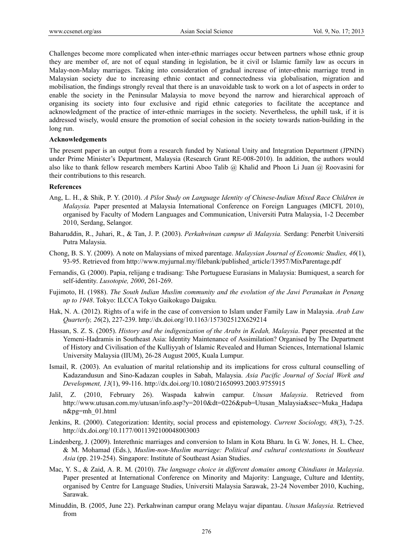Challenges become more complicated when inter-ethnic marriages occur between partners whose ethnic group they are member of, are not of equal standing in legislation, be it civil or Islamic family law as occurs in Malay-non-Malay marriages. Taking into consideration of gradual increase of inter-ethnic marriage trend in Malaysian society due to increasing ethnic contact and connectedness via globalisation, migration and mobilisation, the findings strongly reveal that there is an unavoidable task to work on a lot of aspects in order to enable the society in the Peninsular Malaysia to move beyond the narrow and hierarchical approach of organising its society into four exclusive and rigid ethnic categories to facilitate the acceptance and acknowledgment of the practice of inter-ethnic marriages in the society. Nevertheless, the uphill task, if it is addressed wisely, would ensure the promotion of social cohesion in the society towards nation-building in the long run.

#### **Acknowledgements**

The present paper is an output from a research funded by National Unity and Integration Department (JPNIN) under Prime Minister's Department, Malaysia (Research Grant RE-008-2010). In addition, the authors would also like to thank fellow research members Kartini Aboo Talib @ Khalid and Phoon Li Juan @ Roovasini for their contributions to this research.

## **References**

- Ang, L. H., & Shik, P. Y. (2010). *A Pilot Study on Language Identity of Chinese-Indian Mixed Race Children in Malaysia.* Paper presented at Malaysia International Conference on Foreign Languages (MICFL 2010), organised by Faculty of Modern Languages and Communication, Universiti Putra Malaysia, 1-2 December 2010, Serdang, Selangor.
- Baharuddin, R., Juhari, R., & Tan, J. P. (2003). *Perkahwinan campur di Malaysia.* Serdang: Penerbit Universiti Putra Malaysia.
- Chong, B. S. Y. (2009). A note on Malaysians of mixed parentage. *Malaysian Journal of Economic Studies, 46*(1), 93-95. Retrieved from http://www.myjurnal.my/filebank/published\_article/13957/MixParentage.pdf
- Fernandis, G. (2000). Papia, relijang e tradisang: Tshe Portuguese Eurasians in Malaysia: Bumiquest, a search for self-identity. *Lusotopie, 2000*, 261-269.
- Fujimoto, H. (1988). *The South Indian Muslim community and the evolution of the Jawi Peranakan in Penang up to 1948*. Tokyo: ILCCA Tokyo Gaikokugo Daigaku.
- Hak, N. A. (2012). Rights of a wife in the case of conversion to Islam under Family Law in Malaysia. *Arab Law Quarterly, 26*(2), 227-239. http://dx.doi.org/10.1163/157302512X629214
- Hassan, S. Z. S. (2005). *History and the indigenization of the Arabs in Kedah, Malaysia*. Paper presented at the Yemeni-Hadramis in Southeast Asia: Identity Maintenance of Assimilation? Organised by The Department of History and Civilisation of the Kulliyyah of Islamic Revealed and Human Sciences, International Islamic University Malaysia (IIUM), 26-28 August 2005, Kuala Lumpur.
- Ismail, R. (2003). An evaluation of marital relationship and its implications for cross cultural counselling of Kadazandusun and Sino-Kadazan couples in Sabah, Malaysia. *Asia Pacific Journal of Social Work and Development, 13*(1), 99-116. http://dx.doi.org/10.1080/21650993.2003.9755915
- Jalil, Z. (2010, February 26). Waspada kahwin campur. *Utusan Malaysia*. Retrieved from http://www.utusan.com.my/utusan/info.asp?y=2010&dt=0226&pub=Utusan\_Malaysia&sec=Muka\_Hadapa n&pg=mh\_01.html
- Jenkins, R. (2000). Categorization: Identity, social process and epistemology. *Current Sociology, 48*(3), 7-25. http://dx.doi.org/10.1177/0011392100048003003
- Lindenberg, J. (2009). Interethnic marriages and conversion to Islam in Kota Bharu. In G. W. Jones, H. L. Chee, & M. Mohamad (Eds.), *Muslim-non-Muslim marriage: Political and cultural contestations in Southeast Asia* (pp. 219-254). Singapore: Institute of Southeast Asian Studies.
- Mac, Y. S., & Zaid, A. R. M. (2010). *The language choice in different domains among Chindians in Malaysia*. Paper presented at International Conference on Minority and Majority: Language, Culture and Identity, organised by Centre for Language Studies, Universiti Malaysia Sarawak, 23-24 November 2010, Kuching, Sarawak.
- Minuddin, B. (2005, June 22). Perkahwinan campur orang Melayu wajar dipantau. *Utusan Malaysia.* Retrieved from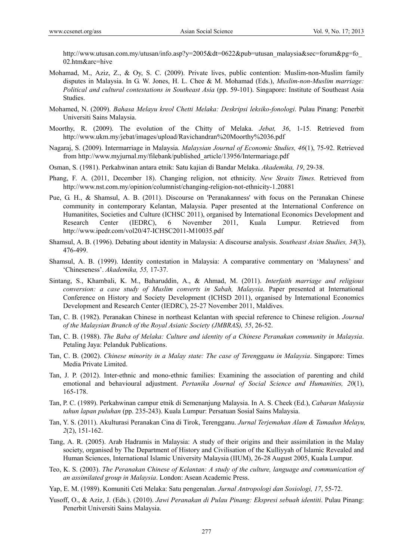http://www.utusan.com.my/utusan/info.asp?y=2005&dt=0622&pub=utusan\_malaysia&sec=forum&pg=fo\_ 02.htm&arc=hive

- Mohamad, M., Aziz, Z., & Oy, S. C. (2009). Private lives, public contention: Muslim-non-Muslim family disputes in Malaysia. In G. W. Jones, H. L. Chee & M. Mohamad (Eds.), *Muslim-non-Muslim marriage: Political and cultural contestations in Southeast Asia* (pp. 59-101). Singapore: Institute of Southeast Asia Studies.
- Mohamed, N. (2009). *Bahasa Melayu kreol Chetti Melaka: Deskripsi leksiko-fonologi*. Pulau Pinang: Penerbit Universiti Sains Malaysia.
- Moorthy, R. (2009). The evolution of the Chitty of Melaka. *Jebat, 36*, 1-15. Retrieved from http://www.ukm.my/jebat/images/upload/Ravichandran%20Moorthy%2036.pdf
- Nagaraj, S. (2009). Intermarriage in Malaysia. *Malaysian Journal of Economic Studies, 46*(1), 75-92. Retrieved from http://www.myjurnal.my/filebank/published\_article/13956/Intermariage.pdf
- Osman, S. (1981). Perkahwinan antara etnik: Satu kajian di Bandar Melaka. *Akademika, 19*, 29-38.
- Phang, F. A. (2011, December 18). Changing religion, not ethnicity. *New Straits Times.* Retrieved from http://www.nst.com.my/opinion/columnist/changing-religion-not-ethnicity-1.20881
- Pue, G. H., & Shamsul, A. B. (2011). Discourse on 'Peranakanness' with focus on the Peranakan Chinese community in contemporary Kelantan, Malaysia. Paper presented at the International Conference on Humanitites, Societies and Culture (ICHSC 2011), organised by International Economics Development and Research Center (IEDRC), 6 November 2011, Kuala Lumpur. Retrieved from http://www.ipedr.com/vol20/47-ICHSC2011-M10035.pdf
- Shamsul, A. B. (1996). Debating about identity in Malaysia: A discourse analysis. *Southeast Asian Studies, 34*(3), 476-499.
- Shamsul, A. B. (1999). Identity contestation in Malaysia: A comparative commentary on 'Malayness' and 'Chineseness'. *Akademika, 55,* 17-37.
- Sintang, S., Khambali, K. M., Baharuddin, A., & Ahmad, M. (2011). *Interfaith marriage and religious conversion: a case study of Muslim converts in Sabah, Malaysia*. Paper presented at International Conference on History and Society Development (ICHSD 2011), organised by International Economics Development and Research Center (IEDRC), 25-27 November 2011, Maldives.
- Tan, C. B. (1982). Peranakan Chinese in northeast Kelantan with special reference to Chinese religion. *Journal of the Malaysian Branch of the Royal Asiatic Society (JMBRAS), 55*, 26-52.
- Tan, C. B. (1988). *The Baba of Melaka: Culture and identity of a Chinese Peranakan community in Malaysia*. Petaling Jaya: Pelanduk Publications.
- Tan, C. B. (2002). *Chinese minority in a Malay state: The case of Terengganu in Malaysia*. Singapore: Times Media Private Limited.
- Tan, J. P. (2012). Inter-ethnic and mono-ethnic families: Examining the association of parenting and child emotional and behavioural adjustment. *Pertanika Journal of Social Science and Humanities, 20*(1), 165-178.
- Tan, P. C. (1989). Perkahwinan campur etnik di Semenanjung Malaysia. In A. S. Cheek (Ed.), *Cabaran Malaysia tahun lapan puluhan* (pp. 235-243). Kuala Lumpur: Persatuan Sosial Sains Malaysia.
- Tan, Y. S. (2011). Akulturasi Peranakan Cina di Tirok, Terengganu. *Jurnal Terjemahan Alam & Tamadun Melayu, 2*(2), 151-162.
- Tang, A. R. (2005). Arab Hadramis in Malaysia: A study of their origins and their assimilation in the Malay society, organised by The Department of History and Civilisation of the Kulliyyah of Islamic Revealed and Human Sciences, International Islamic University Malaysia (IIUM), 26-28 August 2005, Kuala Lumpur.
- Teo, K. S. (2003). *The Peranakan Chinese of Kelantan: A study of the culture, language and communication of an assimilated group in Malaysia*. London: Asean Academic Press.
- Yap, E. M. (1989). Komuniti Ceti Melaka: Satu pengenalan. *Jurnal Antropologi dan Sosiologi, 17*, 55-72.
- Yusoff, O., & Aziz, J. (Eds.). (2010). *Jawi Peranakan di Pulau Pinang: Ekspresi sebuah identiti*. Pulau Pinang: Penerbit Universiti Sains Malaysia.